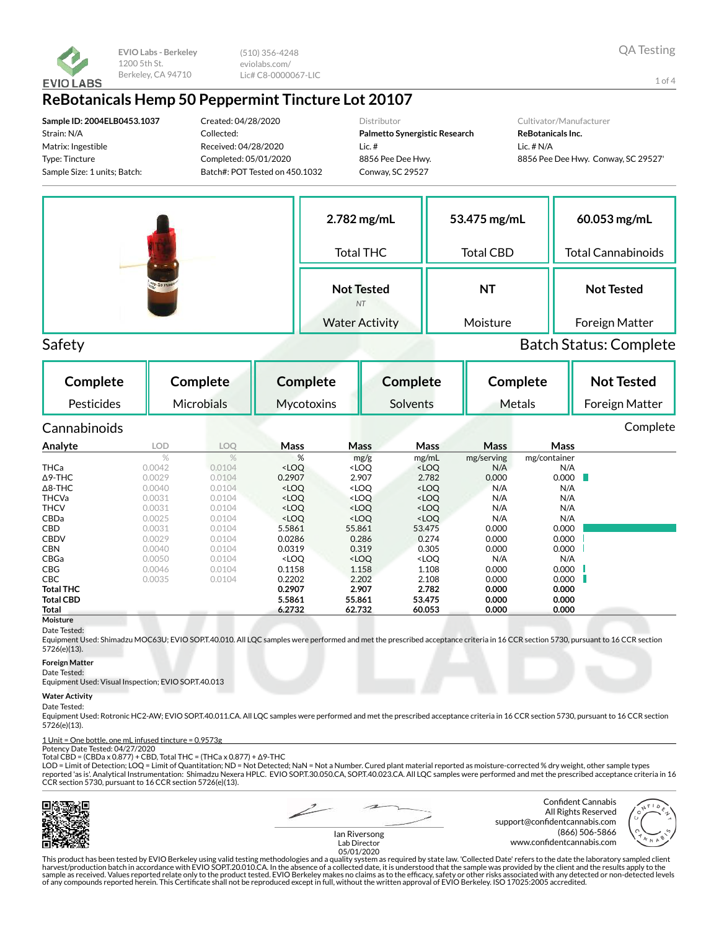

(510) 356-4248 eviolabs.com/ Lic# C8-0000067-LIC

## **ReBotanicals Hemp 50 Peppermint Tincture Lot 20107**

**Sample ID: 2004ELB0453.1037** Strain: N/A Matrix: Ingestible Type: Tincture Sample Size: 1 units; Batch:

Created: 04/28/2020 Collected: Received: 04/28/2020 Completed: 05/01/2020 Batch#: POT Tested on 450.1032 Distributor

**Palmetto Synergistic Research** Lic. # 8856 Pee Dee Hwy. Conway, SC 29527

#### Cultivator/Manufacturer

**ReBotanicals Inc.** Lic. # N/A 8856 Pee Dee Hwy. Conway, SC 29527'



### Safety Batch Status: Complete

**Complete** Pesticides **Complete** Microbials **Complete Mycotoxins Complete** Solvents **Complete** Metals **Not Tested** Foreign Matter Cannabinoids Complete **Analyte LOD LOQ Mass Mass Mass Mass Mass** mg/g mg/mL mg/serving mg/container THCa 0.0042 0.0104 <LOQ <LOQ <LOQ N/A N/A Δ9-THC 0.0029 0.0104 0.2907 2.907 2.782 0.000 0.000 Δ8-THC 0.0040 0.0104 <LOQ <LOQ <LOQ N/A N/A THCVa 0.0031 0.0104 <LOQ <LOQ <LOQ N/A N/A THCV 0.0031 0.0104 <LOQ <LOQ <LOQ N/A N/A CBDa 0.0025 0.0104 <LOQ <LOQ <LOQ N/A N/A **CBD** 0.0031 0.0104 5.5861 55.861 53.475 0.000 0.000 CBDV 0.0029 0.0104 0.0286 0.286 0.274 0.000 0.000 CBN 0.0040 0.0104 0.0319 0.319 0.305 0.000 0.000 CBGa 0.0050 0.0104 <LOQ <LOQ <LOQ N/A N/A **CBG** 0.0046 0.0104 **0.1158 1.158 1.108 0.000 0.000 CBC** 0.0035 0.0104 **0.2202 2.202 2.108 0.000 0.000 Total THC 0.2907 2.907 2.782 0.000 0.000 Total CBD 5.5861 55.861 53.475 0.000 0.000 Total 6.2732 62.732 60.053 0.000 0.000**

#### **Moisture** Date Tested:

Equipment Used: Shimadzu MOC63U; EVIO SOP.T.40.010. All LQC samples were performed and met the prescribed acceptance criteria in 16 CCR section 5730, pursuant to 16 CCR section 5726(e)(13).

#### **Foreign Matter**

Date Tested:

Equipment Used: Visual Inspection; EVIO SOP.T.40.013

#### **Water Activity**

#### Date Tested:

Equipment Used: Rotronic HC2-AW; EVIO SOP.T.40.011.CA. All LQC samples were performed and met the prescribed acceptance criteria in 16 CCR section 5730, pursuant to 16 CCR section 5726(e)(13).

## 1 Unit = One bottle, one mL infused tincture = 0.9573g Potency Date Tested: 04/27/2020

Total CBD = (CBDa x 0.877) + CBD, Total THC = (THCa x 0.877) + Δ9-THC

LOD = Limit of Detection; LOQ = Limit of Quantitation; ND = Not Detected; NaN = Not a Number. Cured plant material reported as moisture-corrected % dry weight, other sample types<br>reported 'as is'. Analytical Instrumentatio CCR section 5730, pursuant to 16 CCR section 5726(e)(13).



Confident Cannabis All Rights Reserved support@confidentcannabis.com (866) 506-5866 www.confidentcannabis.com



Ian Riversong Lab Director 05/01/2020

This product has been tested by EVIO Berkeley using valid testing methodologies and a quality system as required by state law. 'Collected Date' refers to the date the laboratory sampled client harvest/production batch in accordance with EVIO SOP.T.20.010.CA. In the absence of a collected date, it is understood that the sample was provided by the client and the results apply to the<br>sample as received. Values repo of any compounds reported herein. This Certificate shall not be reproduced except in full, without the written approval of EVIO Berkeley. ISO 17025:2005 accredited.

1 of 4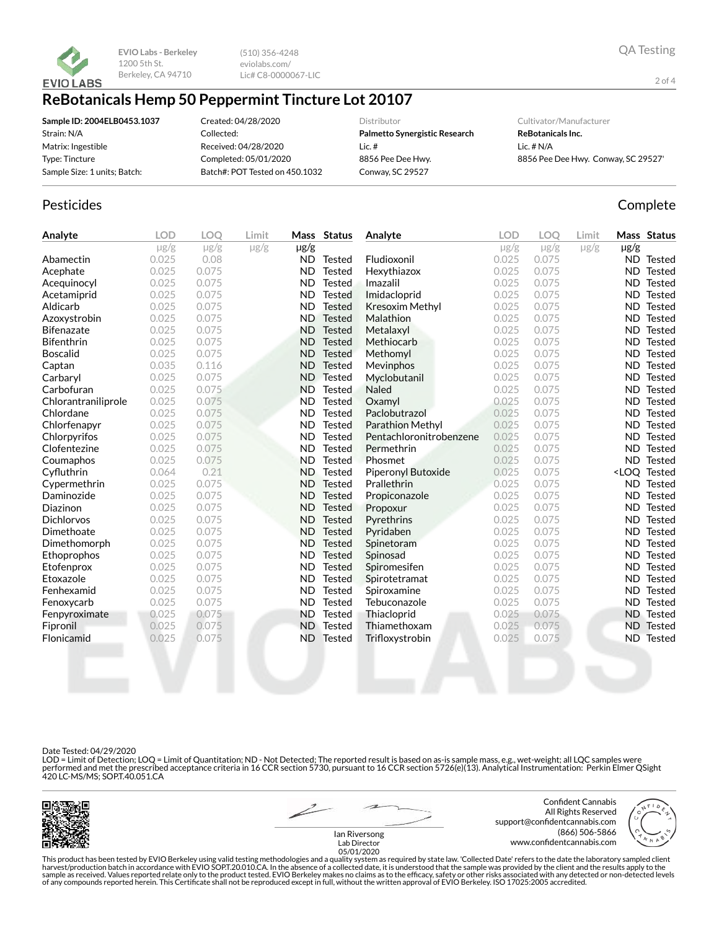

(510) 356-4248 eviolabs.com/ Lic# C8-0000067-LIC

## **ReBotanicals Hemp 50 Peppermint Tincture Lot 20107**

**Sample ID: 2004ELB0453.1037** Strain: N/A Matrix: Ingestible Type: Tincture Sample Size: 1 units; Batch: Created: 04/28/2020 Collected: Received: 04/28/2020 Completed: 05/01/2020 Batch#: POT Tested on 450.1032 Distributor

**Palmetto Synergistic Research** Lic. # 8856 Pee Dee Hwy. Conway, SC 29527

Cultivator/Manufacturer

**ReBotanicals Inc.** Lic. # N/A 8856 Pee Dee Hwy. Conway, SC 29527'

## Pesticides **Complete**

| Analyte             | <b>LOD</b> | <b>LOO</b>     | Limit     |           | Mass Status   | Analyte                   | <b>LOD</b> | <b>LOO</b> | Limit     |           | Mass Status                  |
|---------------------|------------|----------------|-----------|-----------|---------------|---------------------------|------------|------------|-----------|-----------|------------------------------|
|                     | $\mu$ g/g  | $\mu{\rm g/g}$ | $\mu$ g/g | $\mu$ g/g |               |                           | $\mu$ g/g  | $\mu$ g/g  | $\mu$ g/g | $\mu$ g/g |                              |
| Abamectin           | 0.025      | 0.08           |           | ND.       | Tested        | Fludioxonil               | 0.025      | 0.075      |           |           | ND Tested                    |
| Acephate            | 0.025      | 0.075          |           | <b>ND</b> | <b>Tested</b> | Hexythiazox               | 0.025      | 0.075      |           |           | <b>ND</b> Tested             |
| Acequinocyl         | 0.025      | 0.075          |           | <b>ND</b> | <b>Tested</b> | Imazalil                  | 0.025      | 0.075      |           | ND.       | Tested                       |
| Acetamiprid         | 0.025      | 0.075          |           | <b>ND</b> | <b>Tested</b> | Imidacloprid              | 0.025      | 0.075      |           | ND.       | Tested                       |
| Aldicarb            | 0.025      | 0.075          |           | <b>ND</b> | <b>Tested</b> | <b>Kresoxim Methyl</b>    | 0.025      | 0.075      |           | ND.       | Tested                       |
| Azoxystrobin        | 0.025      | 0.075          |           | <b>ND</b> | Tested        | Malathion                 | 0.025      | 0.075      |           | ND.       | Tested                       |
| <b>Bifenazate</b>   | 0.025      | 0.075          |           | <b>ND</b> | Tested        | Metalaxyl                 | 0.025      | 0.075      |           | ND.       | Tested                       |
| <b>Bifenthrin</b>   | 0.025      | 0.075          |           | <b>ND</b> | Tested        | Methiocarb                | 0.025      | 0.075      |           | ND.       | <b>Tested</b>                |
| <b>Boscalid</b>     | 0.025      | 0.075          |           | <b>ND</b> | <b>Tested</b> | Methomyl                  | 0.025      | 0.075      |           | ND.       | Tested                       |
| Captan              | 0.035      | 0.116          |           | <b>ND</b> | <b>Tested</b> | Mevinphos                 | 0.025      | 0.075      |           | ND.       | Tested                       |
| Carbaryl            | 0.025      | 0.075          |           | <b>ND</b> | <b>Tested</b> | Myclobutanil              | 0.025      | 0.075      |           | ND.       | Tested                       |
| Carbofuran          | 0.025      | 0.075          |           | <b>ND</b> | <b>Tested</b> | <b>Naled</b>              | 0.025      | 0.075      |           | ND.       | Tested                       |
| Chlorantraniliprole | 0.025      | 0.075          |           | <b>ND</b> | <b>Tested</b> | Oxamyl                    | 0.025      | 0.075      |           | ND.       | Tested                       |
| Chlordane           | 0.025      | 0.075          |           | <b>ND</b> | <b>Tested</b> | Paclobutrazol             | 0.025      | 0.075      |           | ND.       | Tested                       |
| Chlorfenapyr        | 0.025      | 0.075          |           | <b>ND</b> | <b>Tested</b> | Parathion Methyl          | 0.025      | 0.075      |           | ND.       | Tested                       |
| Chlorpyrifos        | 0.025      | 0.075          |           | <b>ND</b> | <b>Tested</b> | Pentachloronitrobenzene   | 0.025      | 0.075      |           | ND.       | Tested                       |
| Clofentezine        | 0.025      | 0.075          |           | <b>ND</b> | <b>Tested</b> | Permethrin                | 0.025      | 0.075      |           | ND        | Tested                       |
| Coumaphos           | 0.025      | 0.075          |           | <b>ND</b> | <b>Tested</b> | Phosmet                   | 0.025      | 0.075      |           | ND.       | Tested                       |
| Cyfluthrin          | 0.064      | 0.21           |           | <b>ND</b> | <b>Tested</b> | <b>Piperonyl Butoxide</b> | 0.025      | 0.075      |           |           | <loq tested<="" th=""></loq> |
| Cypermethrin        | 0.025      | 0.075          |           | <b>ND</b> | <b>Tested</b> | Prallethrin               | 0.025      | 0.075      |           |           | ND Tested                    |
| Daminozide          | 0.025      | 0.075          |           | <b>ND</b> | <b>Tested</b> | Propiconazole             | 0.025      | 0.075      |           | ND.       | Tested                       |
| Diazinon            | 0.025      | 0.075          |           | <b>ND</b> | Tested        | Propoxur                  | 0.025      | 0.075      |           | ND.       | Tested                       |
| <b>Dichlorvos</b>   | 0.025      | 0.075          |           | <b>ND</b> | Tested        | Pyrethrins                | 0.025      | 0.075      |           | ND.       | Tested                       |
| Dimethoate          | 0.025      | 0.075          |           | <b>ND</b> | <b>Tested</b> | Pyridaben                 | 0.025      | 0.075      |           | ND.       | <b>Tested</b>                |
| Dimethomorph        | 0.025      | 0.075          |           | <b>ND</b> | <b>Tested</b> | Spinetoram                | 0.025      | 0.075      |           | ND.       | Tested                       |
| Ethoprophos         | 0.025      | 0.075          |           | <b>ND</b> | <b>Tested</b> | Spinosad                  | 0.025      | 0.075      |           | ND.       | Tested                       |
| Etofenprox          | 0.025      | 0.075          |           | <b>ND</b> | <b>Tested</b> | Spiromesifen              | 0.025      | 0.075      |           | ND.       | Tested                       |
| Etoxazole           | 0.025      | 0.075          |           | <b>ND</b> | <b>Tested</b> | Spirotetramat             | 0.025      | 0.075      |           | ND.       | Tested                       |
| Fenhexamid          | 0.025      | 0.075          |           | ND.       | <b>Tested</b> | Spiroxamine               | 0.025      | 0.075      |           | ND.       | Tested                       |
| Fenoxycarb          | 0.025      | 0.075          |           | <b>ND</b> | Tested        | Tebuconazole              | 0.025      | 0.075      |           | ND.       | Tested                       |
| Fenpyroximate       | 0.025      | 0.075          |           | <b>ND</b> | <b>Tested</b> | Thiacloprid               | 0.025      | 0.075      |           |           | <b>ND</b> Tested             |
| Fipronil            | 0.025      | 0.075          |           | <b>ND</b> | Tested        | Thiamethoxam              | 0.025      | 0.075      |           | ND.       | Tested                       |
| Flonicamid          | 0.025      | 0.075          |           | ND.       | Tested        | Trifloxystrobin           | 0.025      | 0.075      |           | ND.       | <b>Tested</b>                |
|                     |            |                |           |           |               |                           |            |            |           |           |                              |

#### Date Tested: 04/29/2020

LOD = Limit of Detection; LOQ = Limit of Quantitation; ND - Not Detected; The reported result is based on as-is sample mass, e.g., wet-weight; all LQC samples were performed and met the prescribed acceptance criteria in 16 CCR section 5730, pursuant to 16 CCR section 5726(e)(13). Analytical Instrumentation: Perkin Elmer QSight<br>420 LC-MS/MS; SOP.T.40.051.CA



Confident Cannabis All Rights Reserved support@confidentcannabis.com (866) 506-5866 www.confidentcannabis.com

2 of 4



Ian Riversong Lab Director 05/01/2020

This product has been tested by EVIO Berkeley using valid testing methodologies and a quality system as required by state law. 'Collected Date' refers to the date the laboratory sampled client<br>harvest/production batch in a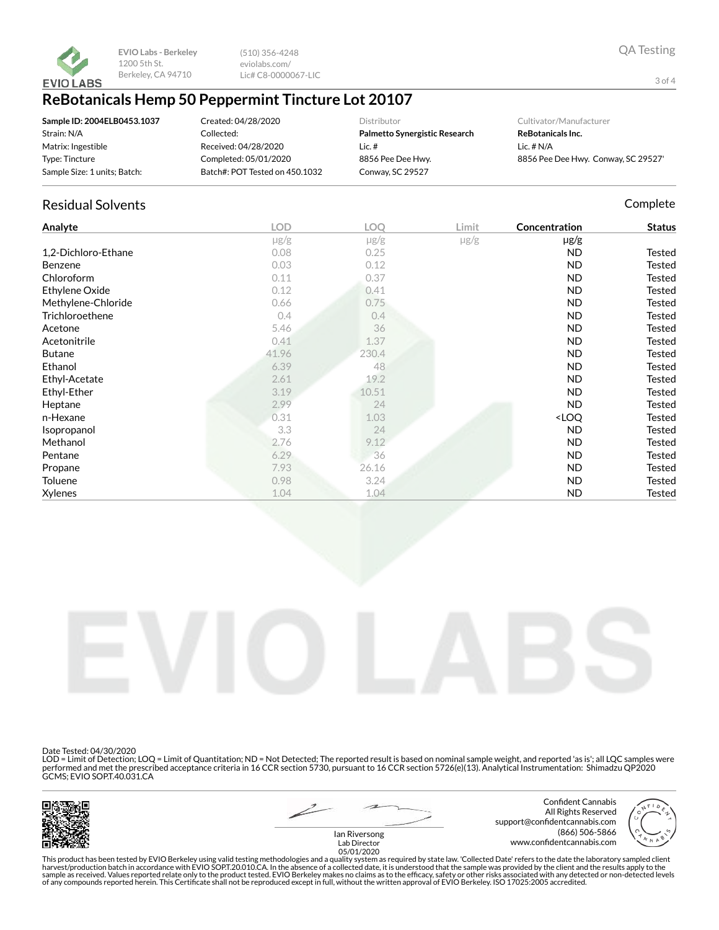

(510) 356-4248 eviolabs.com/ Lic# C8-0000067-LIC

## **ReBotanicals Hemp 50 Peppermint Tincture Lot 20107**

| Sample ID: 2004ELB0453.1037  | Created: 04/28/2020            | Distributor                   | Cultivator/Manufacturer             |
|------------------------------|--------------------------------|-------------------------------|-------------------------------------|
| Strain: N/A                  | Collected:                     | Palmetto Synergistic Research | ReBotanicals Inc.                   |
| Matrix: Ingestible           | Received: 04/28/2020           | Lic.#                         | Lic. $# N/A$                        |
| Type: Tincture               | Completed: 05/01/2020          | 8856 Pee Dee Hwy.             | 8856 Pee Dee Hwy. Conway, SC 29527' |
| Sample Size: 1 units; Batch: | Batch#: POT Tested on 450.1032 | Conway, SC 29527              |                                     |

### Residual Solvents **Complete** Complete Complete Complete Complete Complete Complete

| Analyte             | <b>LOD</b> | LOQ       | Limit     | Concentration                      | <b>Status</b> |
|---------------------|------------|-----------|-----------|------------------------------------|---------------|
|                     | $\mu$ g/g  | $\mu$ g/g | $\mu$ g/g | $\mu$ g/g                          |               |
| 1,2-Dichloro-Ethane | 0.08       | 0.25      |           | ND                                 | Tested        |
| Benzene             | 0.03       | 0.12      |           | <b>ND</b>                          | Tested        |
| Chloroform          | 0.11       | 0.37      |           | ND                                 | Tested        |
| Ethylene Oxide      | 0.12       | 0.41      |           | ND                                 | Tested        |
| Methylene-Chloride  | 0.66       | 0.75      |           | <b>ND</b>                          | Tested        |
| Trichloroethene     | 0.4        | 0.4       |           | <b>ND</b>                          | Tested        |
| Acetone             | 5.46       | 36        |           | ND                                 | Tested        |
| Acetonitrile        | 0.41       | 1.37      |           | <b>ND</b>                          | Tested        |
| <b>Butane</b>       | 41.96      | 230.4     |           | <b>ND</b>                          | Tested        |
| Ethanol             | 6.39       | 48        |           | ND                                 | Tested        |
| Ethyl-Acetate       | 2.61       | 19.2      |           | <b>ND</b>                          | Tested        |
| Ethyl-Ether         | 3.19       | 10.51     |           | <b>ND</b>                          | Tested        |
| Heptane             | 2.99       | 24        |           | ND                                 | Tested        |
| n-Hexane            | 0.31       | 1.03      |           | <loq< th=""><th>Tested</th></loq<> | Tested        |
| Isopropanol         | 3.3        | 24        |           | <b>ND</b>                          | Tested        |
| Methanol            | 2.76       | 9.12      |           | <b>ND</b>                          | <b>Tested</b> |
| Pentane             | 6.29       | 36        |           | ND                                 | Tested        |
| Propane             | 7.93       | 26.16     |           | ND                                 | Tested        |
| Toluene             | 0.98       | 3.24      |           | ND                                 | <b>Tested</b> |
| Xylenes             | 1.04       | 1.04      |           | <b>ND</b>                          | <b>Tested</b> |



Date Tested: 04/30/2020

LOD = Limit of Detection; LOQ = Limit of Quantitation; ND = Not Detected; The reported result is based on nominal sample weight, and reported 'as is'; all LQC samples were performed and met the prescribed acceptance criteria in 16 CCR section 5730, pursuant to 16 CCR section 5726(e)(13). Analytical Instrumentation: Shimadzu QP2020 GCMS; EVIO SOP.T.40.031.CA





Confident Cannabis All Rights Reserved support@confidentcannabis.com (866) 506-5866 www.confidentcannabis.com



Ian Riversong Lab Director 05/01/2020

This product has been tested by EVIO Berkeley using valid testing methodologies and a quality system as required by state law. 'Collected Date' refers to the date the laboratory sampled client<br>harvest/production batch in a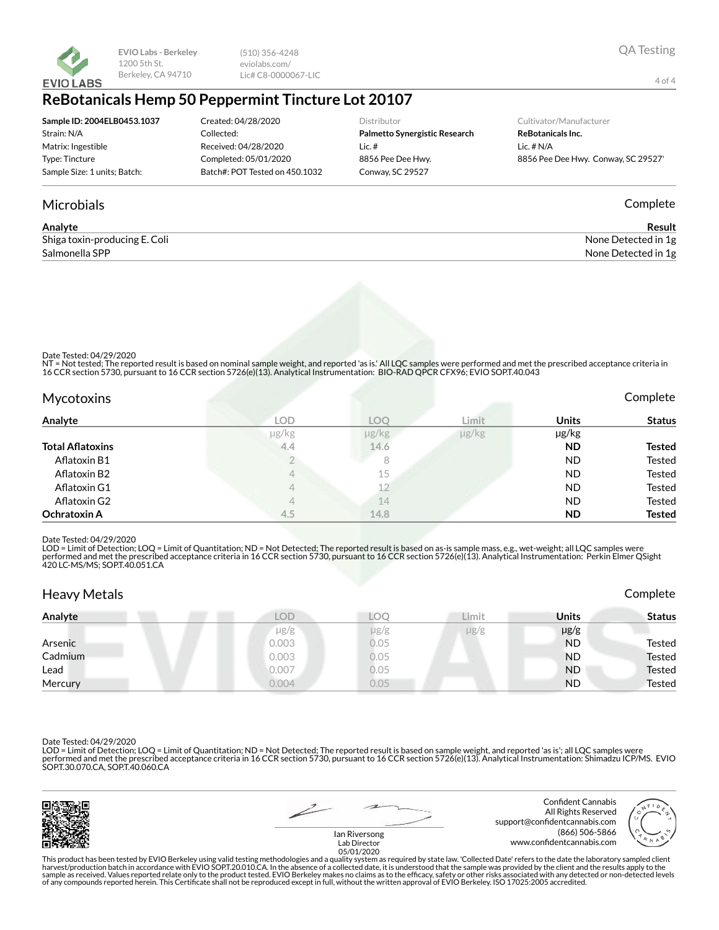

(510) 356-4248 eviolabs.com/ Lic# C8-0000067-LIC

## **ReBotanicals Hemp 50 Peppermint Tincture Lot 20107**

| Sample ID: 2004ELB0453.1037  | Created: 04/28/2020            | <b>Distributor</b>                   |  |
|------------------------------|--------------------------------|--------------------------------------|--|
| Strain: N/A                  | Collected:                     | <b>Palmetto Synergistic Research</b> |  |
| Matrix: Ingestible           | Received: 04/28/2020           | Lic. $#$                             |  |
| Type: Tincture               | Completed: 05/01/2020          | 8856 Pee Dee Hwy.                    |  |
| Sample Size: 1 units; Batch: | Batch#: POT Tested on 450.1032 | Conway, SC 29527                     |  |
|                              |                                |                                      |  |

#### Cultivator/Manufacturer

**ReBotanicals Inc.** ic.  $# N/A$ 8856 Pee Dee Hwy. Conway, SC 29527'

### Microbials Complete

| Analyte                       | Result              |
|-------------------------------|---------------------|
| Shiga toxin-producing E. Coli | None Detected in 1g |
| Salmonella SPP                | None Detected in 1g |

Date Tested: 04/29/2020

NT = Not tested; The reported result is based on nominal sample weight, and reported 'as is.' All LQC samples were performed and met the prescribed acceptance criteria in<br>16 CCR section 5730, pursuant to 16 CCR section 572

| <b>Mycotoxins</b>       |            |                 |            |              | Complete      |
|-------------------------|------------|-----------------|------------|--------------|---------------|
| Analyte                 | <b>LOD</b> | LOO             | Limit      | <b>Units</b> | <b>Status</b> |
|                         | µg/kg      | $\mu$ g/ $\log$ | $\mu$ g/kg | µg/kg        |               |
| <b>Total Aflatoxins</b> | 4,4        | 14.6            |            | <b>ND</b>    | <b>Tested</b> |
| Aflatoxin B1            |            | 8               |            | <b>ND</b>    | Tested        |
| Aflatoxin B2            | 4          | 15              |            | <b>ND</b>    | Tested        |
| Aflatoxin G1            |            | 12              |            | <b>ND</b>    | Tested        |
| Aflatoxin G2            |            | 14              |            | <b>ND</b>    | Tested        |
| Ochratoxin A            | 4.5        | 14.8            |            | <b>ND</b>    | <b>Tested</b> |

#### Date Tested: 04/29/2020

LOD = Limit of Detection; LOQ = Limit of Quantitation; ND = Not Detected; The reported result is based on as-is sample mass, e.g., wet-weight; all LQC samples were performed and met the prescribed acceptance criteria in 16 CCR section 5730, pursuant to 16 CCR section 5726(e)(13). Analytical Instrumentation: Perkin Elmer QSight<br>420 LC-MS/MS; SOP.T.40.051.CA

| <b>Heavy Metals</b> |            |      |           |              | Complete      |
|---------------------|------------|------|-----------|--------------|---------------|
| Analyte             | <b>LOD</b> | ഛി   | Limit     | <b>Units</b> | Status        |
|                     | $\mu$ g/g  | µg/g | $\mu$ g/g | $\mu$ g/g    |               |
| Arsenic             | 0.003      | 0.05 |           | <b>ND</b>    | Tested        |
| Cadmium             | 0.003      | 0.05 |           | <b>ND</b>    | <b>Tested</b> |
| Lead                | 0.007      | 0.05 |           | <b>ND</b>    | <b>Tested</b> |
| Mercury             | 0.004      | 0.05 |           | <b>ND</b>    | <b>Tested</b> |

Date Tested: 04/29/2020

LOD = Limit of Detection; LOQ = Limit of Quantitation; ND = Not Detected; The reported result is based on sample weight, and reported 'as is'; all LQC samples were performed and met the prescribed acceptance criteria in 16 CCR section 5730, pursuant to 16 CCR section 5726(e)(13). Analytical Instrumentation: Shimadzu ICP/MS. EVIO<br>SOP.T.30.070.CA, SOP.T.40.060.CA



Confident Cannabis All Rights Reserved support@confidentcannabis.com (866) 506-5866 www.confidentcannabis.com



Ian Riversong Lab Director 05/01/2020

This product has been tested by EVIO Berkeley using valid testing methodologies and a quality system as required by state law. 'Collected Date' refers to the date the laboratory sampled client<br>harvest/production batch in a of any compounds reported herein. This Certificate shall not be reproduced except in full, without the written approval of EVIO Berkeley. ISO 17025:2005 accredited.